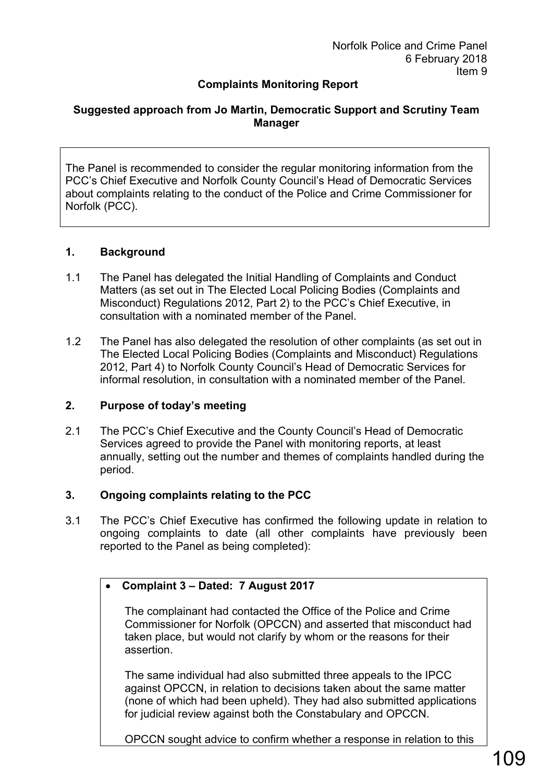# **Complaints Monitoring Report**

#### **Suggested approach from Jo Martin, Democratic Support and Scrutiny Team Manager**

The Panel is recommended to consider the regular monitoring information from the PCC's Chief Executive and Norfolk County Council's Head of Democratic Services about complaints relating to the conduct of the Police and Crime Commissioner for Norfolk (PCC).

#### **1. Background**

- 1.1 The Panel has delegated the Initial Handling of Complaints and Conduct Matters (as set out in The Elected Local Policing Bodies (Complaints and Misconduct) Regulations 2012, Part 2) to the PCC's Chief Executive, in consultation with a nominated member of the Panel.
- 1.2 The Panel has also delegated the resolution of other complaints (as set out in The Elected Local Policing Bodies (Complaints and Misconduct) Regulations 2012, Part 4) to Norfolk County Council's Head of Democratic Services for informal resolution, in consultation with a nominated member of the Panel.

#### **2. Purpose of today's meeting**

2.1 The PCC's Chief Executive and the County Council's Head of Democratic Services agreed to provide the Panel with monitoring reports, at least annually, setting out the number and themes of complaints handled during the period.

#### **3. Ongoing complaints relating to the PCC**

3.1 The PCC's Chief Executive has confirmed the following update in relation to ongoing complaints to date (all other complaints have previously been reported to the Panel as being completed):

#### • **Complaint 3 – Dated: 7 August 2017**

The complainant had contacted the Office of the Police and Crime Commissioner for Norfolk (OPCCN) and asserted that misconduct had taken place, but would not clarify by whom or the reasons for their assertion.

The same individual had also submitted three appeals to the IPCC against OPCCN, in relation to decisions taken about the same matter (none of which had been upheld). They had also submitted applications for judicial review against both the Constabulary and OPCCN.

OPCCN sought advice to confirm whether a response in relation to this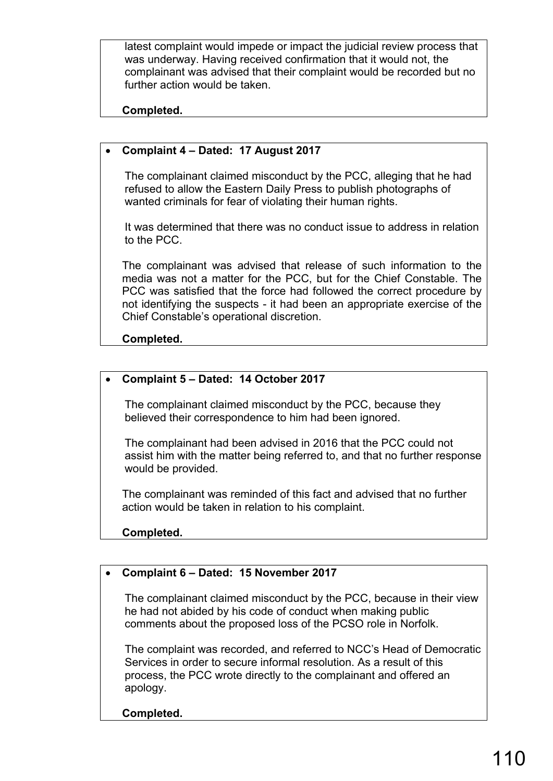latest complaint would impede or impact the judicial review process that was underway. Having received confirmation that it would not, the complainant was advised that their complaint would be recorded but no further action would be taken.

**Completed.**

## • **Complaint 4 – Dated: 17 August 2017**

The complainant claimed misconduct by the PCC, alleging that he had refused to allow the Eastern Daily Press to publish photographs of wanted criminals for fear of violating their human rights.

It was determined that there was no conduct issue to address in relation to the PCC.

The complainant was advised that release of such information to the media was not a matter for the PCC, but for the Chief Constable. The PCC was satisfied that the force had followed the correct procedure by not identifying the suspects - it had been an appropriate exercise of the Chief Constable's operational discretion.

**Completed.**

#### • **Complaint 5 – Dated: 14 October 2017**

The complainant claimed misconduct by the PCC, because they believed their correspondence to him had been ignored.

The complainant had been advised in 2016 that the PCC could not assist him with the matter being referred to, and that no further response would be provided.

The complainant was reminded of this fact and advised that no further action would be taken in relation to his complaint.

**Completed.**

## • **Complaint 6 – Dated: 15 November 2017**

The complainant claimed misconduct by the PCC, because in their view he had not abided by his code of conduct when making public comments about the proposed loss of the PCSO role in Norfolk.

The complaint was recorded, and referred to NCC's Head of Democratic Services in order to secure informal resolution. As a result of this process, the PCC wrote directly to the complainant and offered an apology.

**Completed.**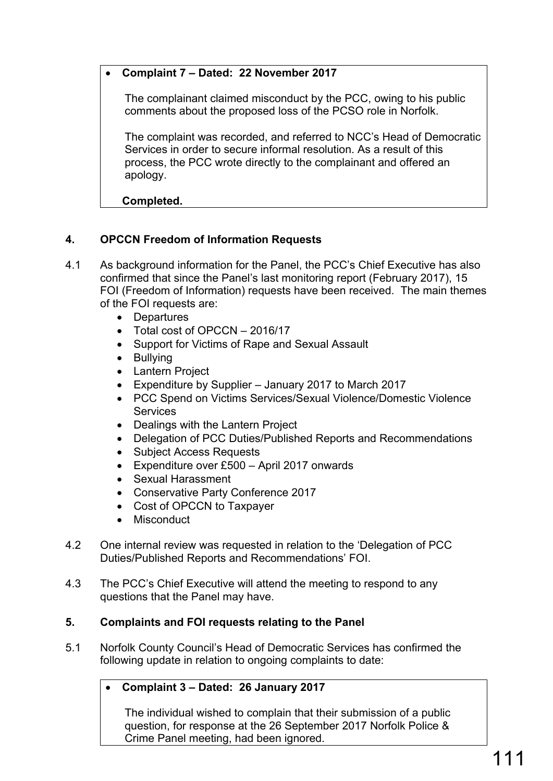## • **Complaint 7 – Dated: 22 November 2017**

The complainant claimed misconduct by the PCC, owing to his public comments about the proposed loss of the PCSO role in Norfolk.

The complaint was recorded, and referred to NCC's Head of Democratic Services in order to secure informal resolution. As a result of this process, the PCC wrote directly to the complainant and offered an apology.

**Completed.**

# **4. OPCCN Freedom of Information Requests**

- 4.1 As background information for the Panel, the PCC's Chief Executive has also confirmed that since the Panel's last monitoring report (February 2017), 15 FOI (Freedom of Information) requests have been received. The main themes of the FOI requests are:
	- Departures
	- Total cost of OPCCN 2016/17
	- Support for Victims of Rape and Sexual Assault
	- Bullying
	- Lantern Project
	- Expenditure by Supplier January 2017 to March 2017
	- PCC Spend on Victims Services/Sexual Violence/Domestic Violence **Services**
	- Dealings with the Lantern Project
	- Delegation of PCC Duties/Published Reports and Recommendations
	- Subject Access Requests
	- Expenditure over £500 April 2017 onwards
	- Sexual Harassment
	- Conservative Party Conference 2017
	- Cost of OPCCN to Taxpayer
	- Misconduct
- 4.2 One internal review was requested in relation to the 'Delegation of PCC Duties/Published Reports and Recommendations' FOI.
- 4.3 The PCC's Chief Executive will attend the meeting to respond to any questions that the Panel may have.

## **5. Complaints and FOI requests relating to the Panel**

5.1 Norfolk County Council's Head of Democratic Services has confirmed the following update in relation to ongoing complaints to date:

## • **Complaint 3 – Dated: 26 January 2017**

The individual wished to complain that their submission of a public question, for response at the 26 September 2017 Norfolk Police & Crime Panel meeting, had been ignored.